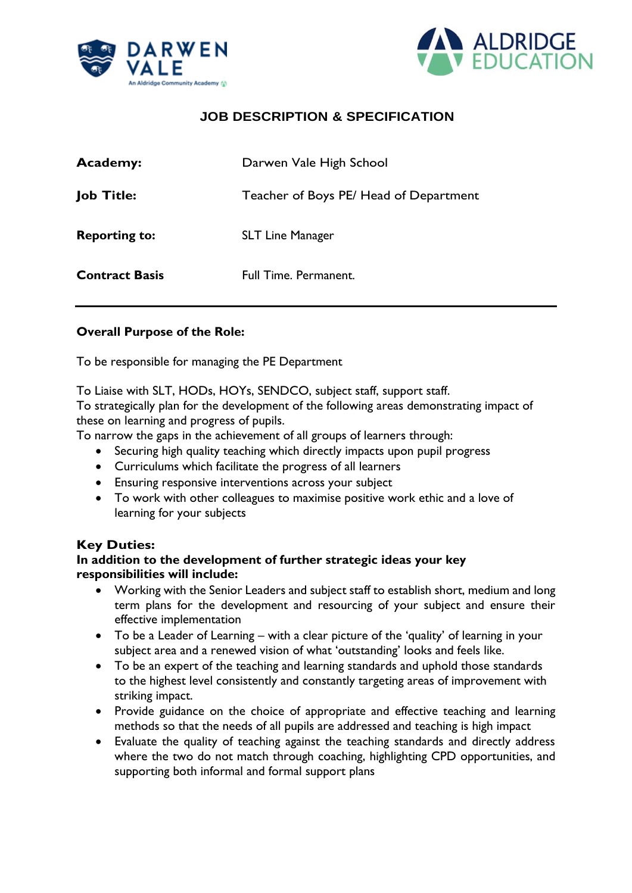



| <b>Academy:</b>       | Darwen Vale High School                |
|-----------------------|----------------------------------------|
| <b>Job Title:</b>     | Teacher of Boys PE/ Head of Department |
| <b>Reporting to:</b>  | <b>SLT Line Manager</b>                |
| <b>Contract Basis</b> | <b>Full Time. Permanent.</b>           |

#### **Overall Purpose of the Role:**

To be responsible for managing the PE Department

To Liaise with SLT, HODs, HOYs, SENDCO, subject staff, support staff.

To strategically plan for the development of the following areas demonstrating impact of these on learning and progress of pupils.

To narrow the gaps in the achievement of all groups of learners through:

- Securing high quality teaching which directly impacts upon pupil progress
- Curriculums which facilitate the progress of all learners
- Ensuring responsive interventions across your subject
- To work with other colleagues to maximise positive work ethic and a love of learning for your subjects

#### **Key Duties:**

#### **In addition to the development of further strategic ideas your key responsibilities will include:**

- Working with the Senior Leaders and subject staff to establish short, medium and long term plans for the development and resourcing of your subject and ensure their effective implementation
- To be a Leader of Learning with a clear picture of the 'quality' of learning in your subject area and a renewed vision of what 'outstanding' looks and feels like.
- To be an expert of the teaching and learning standards and uphold those standards to the highest level consistently and constantly targeting areas of improvement with striking impact.
- Provide guidance on the choice of appropriate and effective teaching and learning methods so that the needs of all pupils are addressed and teaching is high impact
- Evaluate the quality of teaching against the teaching standards and directly address where the two do not match through coaching, highlighting CPD opportunities, and supporting both informal and formal support plans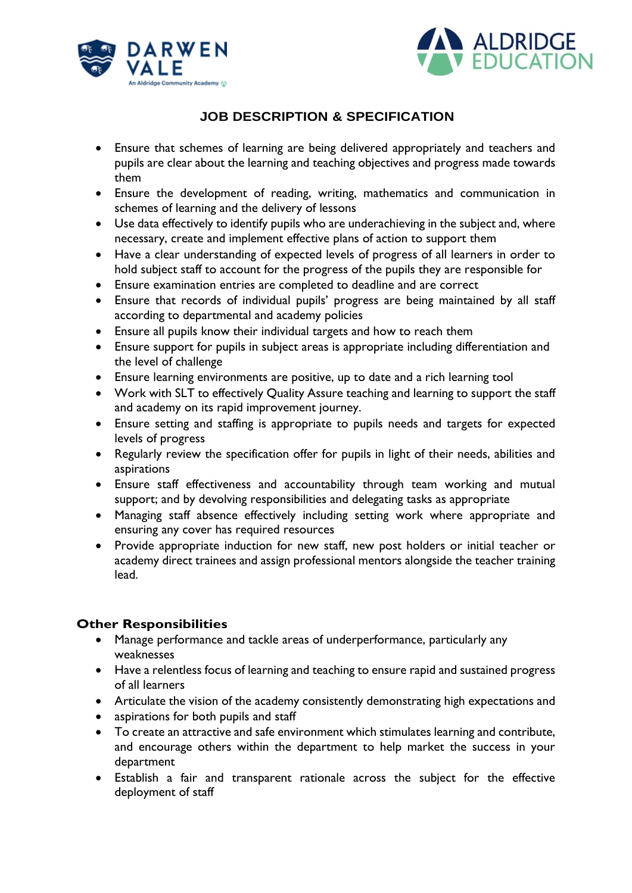



- Ensure that schemes of learning are being delivered appropriately and teachers and pupils are clear about the learning and teaching objectives and progress made towards them
- Ensure the development of reading, writing, mathematics and communication in schemes of learning and the delivery of lessons
- Use data effectively to identify pupils who are underachieving in the subject and, where necessary, create and implement effective plans of action to support them
- Have a clear understanding of expected levels of progress of all learners in order to hold subject staff to account for the progress of the pupils they are responsible for
- Ensure examination entries are completed to deadline and are correct
- Ensure that records of individual pupils' progress are being maintained by all staff according to departmental and academy policies
- Ensure all pupils know their individual targets and how to reach them
- Ensure support for pupils in subject areas is appropriate including differentiation and the level of challenge
- Ensure learning environments are positive, up to date and a rich learning tool
- Work with SLT to effectively Quality Assure teaching and learning to support the staff and academy on its rapid improvement journey.
- Ensure setting and staffing is appropriate to pupils needs and targets for expected levels of progress
- Regularly review the specification offer for pupils in light of their needs, abilities and aspirations
- Ensure staff effectiveness and accountability through team working and mutual support; and by devolving responsibilities and delegating tasks as appropriate
- Managing staff absence effectively including setting work where appropriate and ensuring any cover has required resources
- Provide appropriate induction for new staff, new post holders or initial teacher or academy direct trainees and assign professional mentors alongside the teacher training lead.

### **Other Responsibilities**

- Manage performance and tackle areas of underperformance, particularly any weaknesses
- Have a relentless focus of learning and teaching to ensure rapid and sustained progress of all learners
- Articulate the vision of the academy consistently demonstrating high expectations and
- aspirations for both pupils and staff
- To create an attractive and safe environment which stimulates learning and contribute, and encourage others within the department to help market the success in your department
- Establish a fair and transparent rationale across the subject for the effective deployment of staff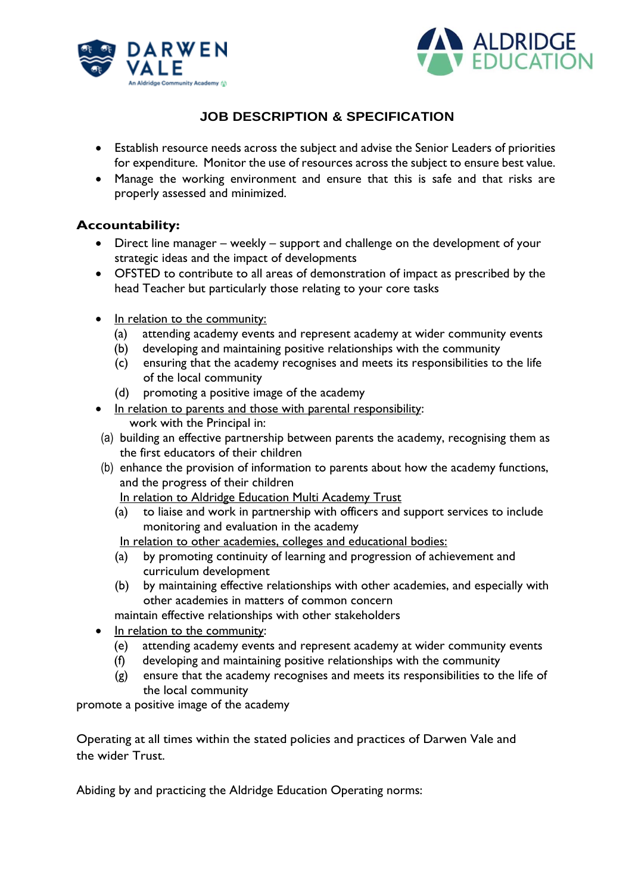



- Establish resource needs across the subject and advise the Senior Leaders of priorities for expenditure. Monitor the use of resources across the subject to ensure best value.
- Manage the working environment and ensure that this is safe and that risks are properly assessed and minimized.

#### **Accountability:**

- Direct line manager weekly support and challenge on the development of your strategic ideas and the impact of developments
- OFSTED to contribute to all areas of demonstration of impact as prescribed by the head Teacher but particularly those relating to your core tasks
- In relation to the community:
	- (a) attending academy events and represent academy at wider community events
	- (b) developing and maintaining positive relationships with the community
	- (c) ensuring that the academy recognises and meets its responsibilities to the life of the local community
	- (d) promoting a positive image of the academy
- In relation to parents and those with parental responsibility: work with the Principal in:
- (a) building an effective partnership between parents the academy, recognising them as the first educators of their children
- (b) enhance the provision of information to parents about how the academy functions, and the progress of their children

In relation to Aldridge Education Multi Academy Trust

(a) to liaise and work in partnership with officers and support services to include monitoring and evaluation in the academy

In relation to other academies, colleges and educational bodies:

- (a) by promoting continuity of learning and progression of achievement and curriculum development
- (b) by maintaining effective relationships with other academies, and especially with other academies in matters of common concern
- maintain effective relationships with other stakeholders
- In relation to the community:
	- (e) attending academy events and represent academy at wider community events
	- (f) developing and maintaining positive relationships with the community
	- (g) ensure that the academy recognises and meets its responsibilities to the life of the local community

promote a positive image of the academy

Operating at all times within the stated policies and practices of Darwen Vale and the wider Trust.

Abiding by and practicing the Aldridge Education Operating norms: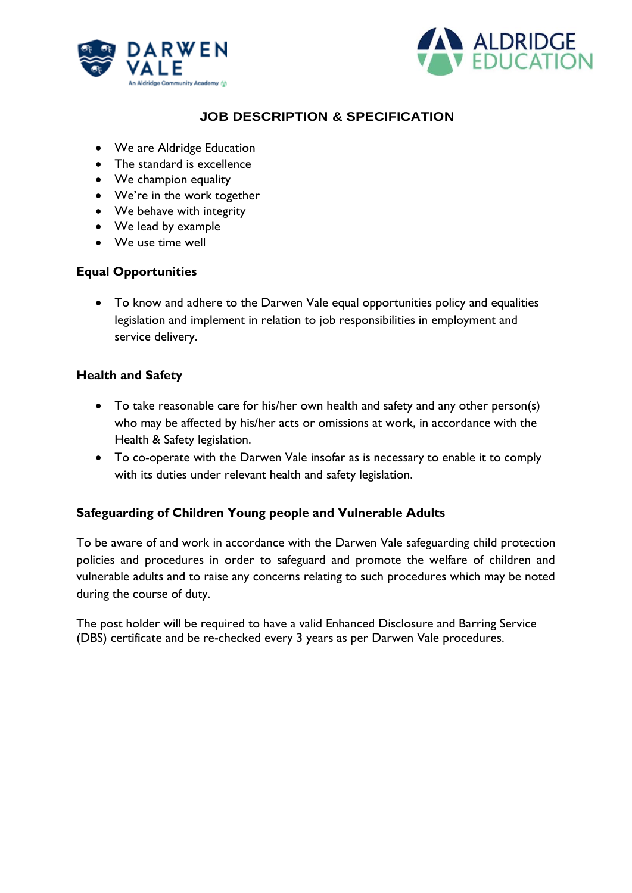



- We are Aldridge Education
- The standard is excellence
- We champion equality
- We're in the work together
- We behave with integrity
- We lead by example
- We use time well

#### **Equal Opportunities**

• To know and adhere to the Darwen Vale equal opportunities policy and equalities legislation and implement in relation to job responsibilities in employment and service delivery.

#### **Health and Safety**

- To take reasonable care for his/her own health and safety and any other person(s) who may be affected by his/her acts or omissions at work, in accordance with the Health & Safety legislation.
- To co-operate with the Darwen Vale insofar as is necessary to enable it to comply with its duties under relevant health and safety legislation.

### **Safeguarding of Children Young people and Vulnerable Adults**

To be aware of and work in accordance with the Darwen Vale safeguarding child protection policies and procedures in order to safeguard and promote the welfare of children and vulnerable adults and to raise any concerns relating to such procedures which may be noted during the course of duty.

The post holder will be required to have a valid Enhanced Disclosure and Barring Service (DBS) certificate and be re-checked every 3 years as per Darwen Vale procedures.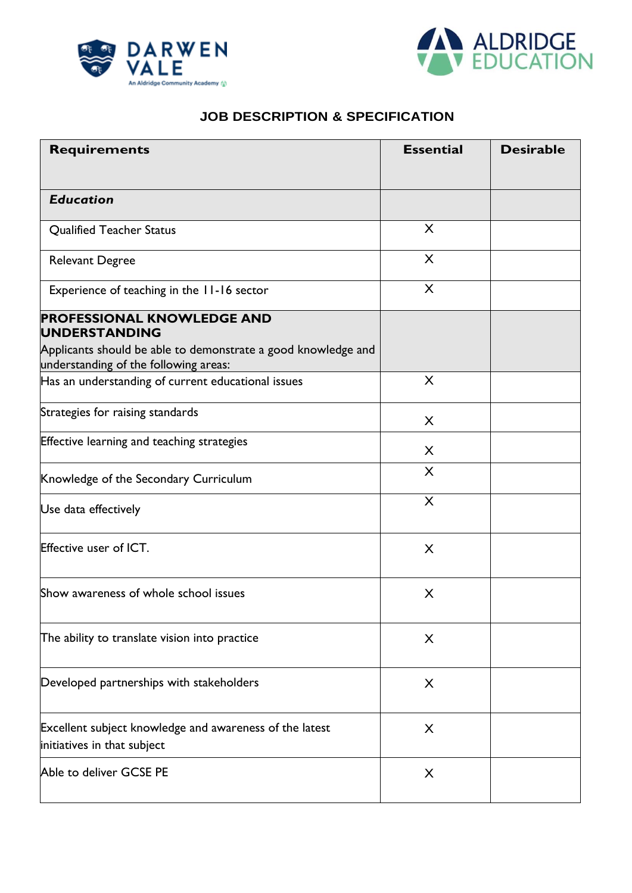



| <b>Requirements</b>                                                                                                        | <b>Essential</b> | <b>Desirable</b> |
|----------------------------------------------------------------------------------------------------------------------------|------------------|------------------|
| <b>Education</b>                                                                                                           |                  |                  |
| <b>Qualified Teacher Status</b>                                                                                            | X                |                  |
| <b>Relevant Degree</b>                                                                                                     | X                |                  |
| Experience of teaching in the 11-16 sector                                                                                 | X                |                  |
| <b>PROFESSIONAL KNOWLEDGE AND</b><br><b>UNDERSTANDING</b><br>Applicants should be able to demonstrate a good knowledge and |                  |                  |
| understanding of the following areas:                                                                                      |                  |                  |
| Has an understanding of current educational issues                                                                         | X                |                  |
| Strategies for raising standards                                                                                           | X                |                  |
| Effective learning and teaching strategies                                                                                 | X                |                  |
| Knowledge of the Secondary Curriculum                                                                                      | X                |                  |
| Use data effectively                                                                                                       | X                |                  |
| <b>Effective user of ICT.</b>                                                                                              | X                |                  |
| Show awareness of whole school issues                                                                                      | X                |                  |
| The ability to translate vision into practice                                                                              | X                |                  |
| Developed partnerships with stakeholders                                                                                   | X                |                  |
| Excellent subject knowledge and awareness of the latest<br>initiatives in that subject                                     | X                |                  |
| Able to deliver GCSE PE                                                                                                    | X                |                  |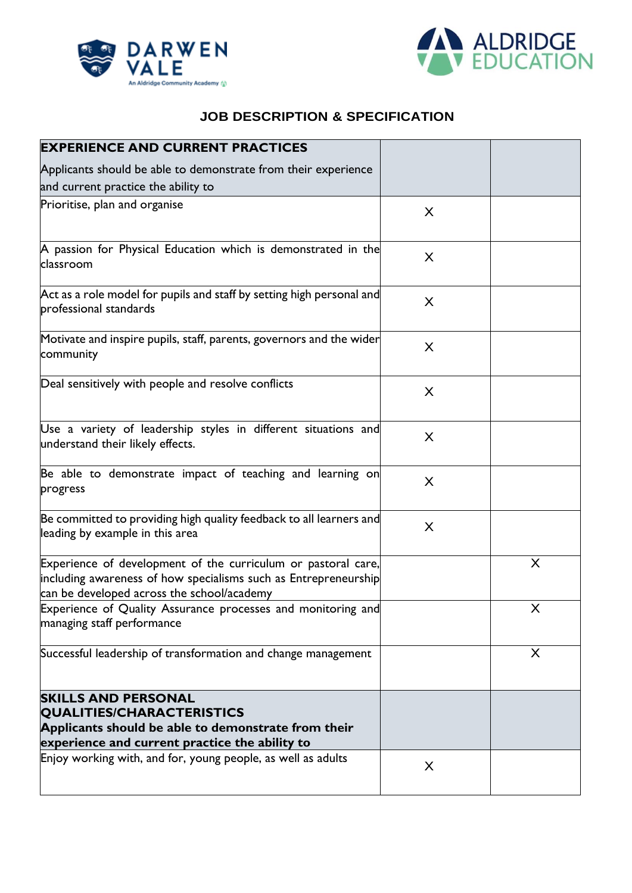



| <b>EXPERIENCE AND CURRENT PRACTICES</b>                                                                                                                                        |   |   |
|--------------------------------------------------------------------------------------------------------------------------------------------------------------------------------|---|---|
| Applicants should be able to demonstrate from their experience                                                                                                                 |   |   |
| and current practice the ability to                                                                                                                                            |   |   |
| Prioritise, plan and organise                                                                                                                                                  | X |   |
| A passion for Physical Education which is demonstrated in the<br>classroom                                                                                                     | X |   |
| Act as a role model for pupils and staff by setting high personal and<br>professional standards                                                                                | X |   |
| Motivate and inspire pupils, staff, parents, governors and the wider<br>community                                                                                              | X |   |
| Deal sensitively with people and resolve conflicts                                                                                                                             | X |   |
| Use a variety of leadership styles in different situations and<br>understand their likely effects.                                                                             | X |   |
| Be able to demonstrate impact of teaching and learning on<br>progress                                                                                                          | X |   |
| Be committed to providing high quality feedback to all learners and<br>leading by example in this area                                                                         | X |   |
| Experience of development of the curriculum or pastoral care,<br>including awareness of how specialisms such as Entrepreneurship<br>can be developed across the school/academy |   | X |
| Experience of Quality Assurance processes and monitoring and<br>managing staff performance                                                                                     |   | X |
| Successful leadership of transformation and change management                                                                                                                  |   | X |
| <b>SKILLS AND PERSONAL</b><br><b>QUALITIES/CHARACTERISTICS</b><br>Applicants should be able to demonstrate from their<br>experience and current practice the ability to        |   |   |
| Enjoy working with, and for, young people, as well as adults                                                                                                                   | X |   |